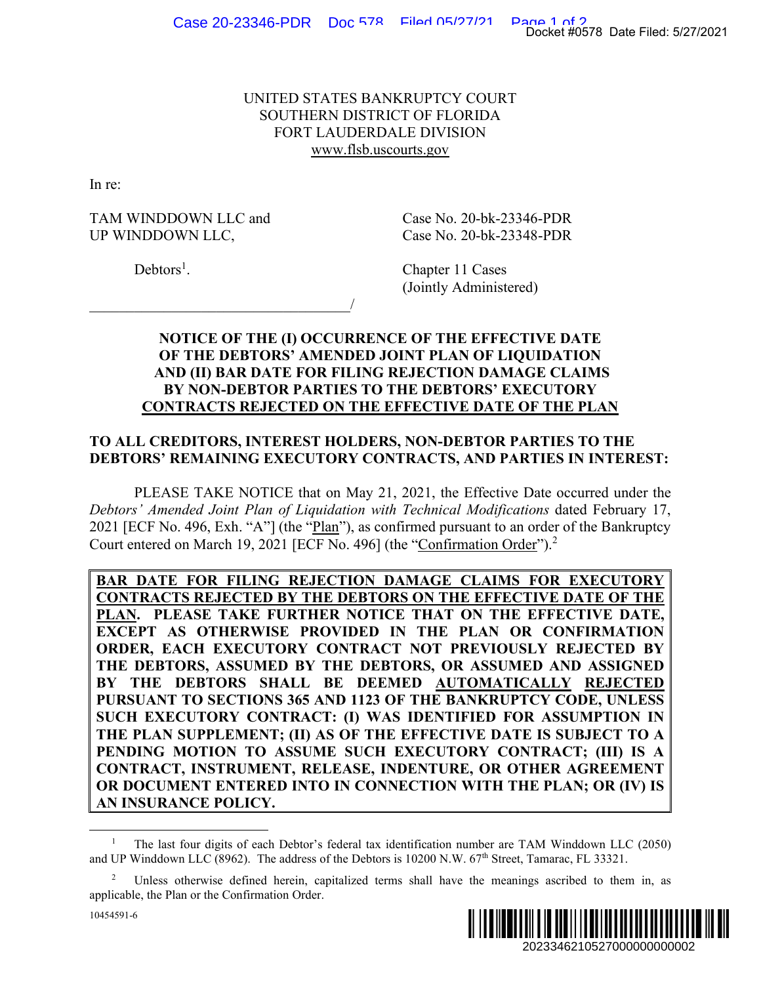## UNITED STATES BANKRUPTCY COURT SOUTHERN DISTRICT OF FLORIDA FORT LAUDERDALE DIVISION www.flsb.uscourts.gov

In re:

TAM WINDDOWN LLC and Case No. 20-bk-23346-PDR UP WINDDOWN LLC, Case No. 20-bk-23348-PDR

 $\overline{\phantom{a}}$ 

 $Debtors<sup>1</sup>$ .

. Chapter 11 Cases (Jointly Administered)

## **NOTICE OF THE (I) OCCURRENCE OF THE EFFECTIVE DATE OF THE DEBTORS' AMENDED JOINT PLAN OF LIQUIDATION AND (II) BAR DATE FOR FILING REJECTION DAMAGE CLAIMS BY NON-DEBTOR PARTIES TO THE DEBTORS' EXECUTORY CONTRACTS REJECTED ON THE EFFECTIVE DATE OF THE PLAN**

## **TO ALL CREDITORS, INTEREST HOLDERS, NON-DEBTOR PARTIES TO THE DEBTORS' REMAINING EXECUTORY CONTRACTS, AND PARTIES IN INTEREST:**

PLEASE TAKE NOTICE that on May 21, 2021, the Effective Date occurred under the *Debtors' Amended Joint Plan of Liquidation with Technical Modifications* dated February 17, 2021 [ECF No. 496, Exh. "A"] (the "Plan"), as confirmed pursuant to an order of the Bankruptcy Court entered on March 19, 2021 [ECF No. 496] (the "Confirmation Order").<sup>2</sup>

**BAR DATE FOR FILING REJECTION DAMAGE CLAIMS FOR EXECUTORY CONTRACTS REJECTED BY THE DEBTORS ON THE EFFECTIVE DATE OF THE PLAN. PLEASE TAKE FURTHER NOTICE THAT ON THE EFFECTIVE DATE, EXCEPT AS OTHERWISE PROVIDED IN THE PLAN OR CONFIRMATION ORDER, EACH EXECUTORY CONTRACT NOT PREVIOUSLY REJECTED BY THE DEBTORS, ASSUMED BY THE DEBTORS, OR ASSUMED AND ASSIGNED BY THE DEBTORS SHALL BE DEEMED AUTOMATICALLY REJECTED PURSUANT TO SECTIONS 365 AND 1123 OF THE BANKRUPTCY CODE, UNLESS SUCH EXECUTORY CONTRACT: (I) WAS IDENTIFIED FOR ASSUMPTION IN THE PLAN SUPPLEMENT; (II) AS OF THE EFFECTIVE DATE IS SUBJECT TO A PENDING MOTION TO ASSUME SUCH EXECUTORY CONTRACT; (III) IS A CONTRACT, INSTRUMENT, RELEASE, INDENTURE, OR OTHER AGREEMENT OR DOCUMENT ENTERED INTO IN CONNECTION WITH THE PLAN; OR (IV) IS AN INSURANCE POLICY.**  2023346210527000000000002 Docket #0578 Date Filed: 5/27/2021



<sup>1</sup> The last four digits of each Debtor's federal tax identification number are TAM Winddown LLC (2050) and UP Winddown LLC (8962). The address of the Debtors is 10200 N.W. 67th Street, Tamarac, FL 33321.

<sup>2</sup> Unless otherwise defined herein, capitalized terms shall have the meanings ascribed to them in, as applicable, the Plan or the Confirmation Order.